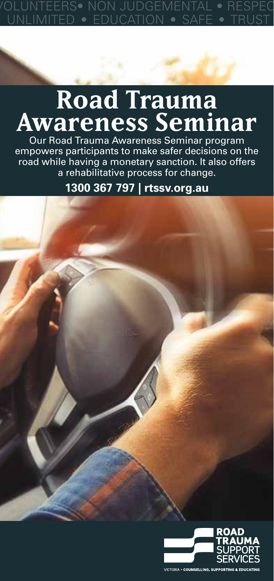# **FOUCATION • SAF**

## **Road Trauma Awareness Seminar**

Our Road Trauma Awareness Seminar program empowers participants to make safer decisions on the road while having a monetary sanction. It also offers a rehabilitative process for change.

**1300 367 797 | rtssv.org.au**

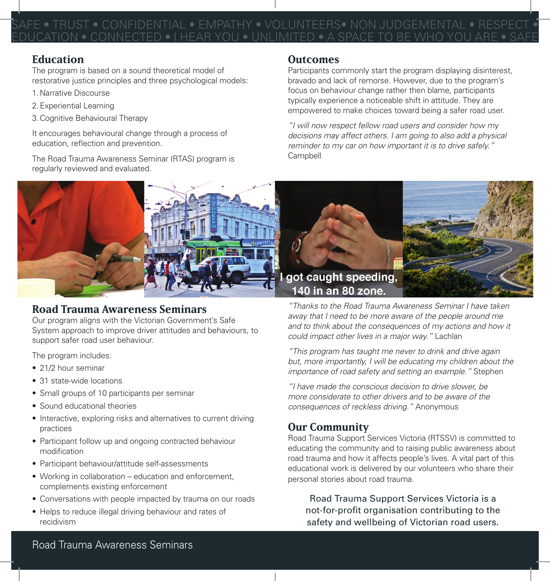NFIDENTIAL • EMPATHY • VOLUNTEERS• NON JUDGEMEN EDUCATION • CONNECTED • I HEAR YOU • UNLIMITED • A SPACE TO BE WHO YOU ARE • SAFE

## **Education**

The program is based on a sound theoretical model of restorative justice principles and three psychological models:

- 1.Narrative Discourse
- 2.Experiential Learning
- 3.Cognitive Behavioural Therapy

It encourages behavioural change through a process of education, reflection and prevention.

The Road Trauma Awareness Seminar (RTAS) program is regularly reviewed and evaluated.

## **Outcomes**

Participants commonly start the program displaying disinterest, bravado and lack of remorse. However, due to the program's focus on behaviour change rather then blame, participants typically experience a noticeable shift in attitude. They are empowered to make choices toward being a safer road user.

*"I will now respect fellow road users and consider how my decisions may affect others. I am going to also add a physical reminder to my car on how important it is to drive safely."* Campbell



## **Road Trauma Awareness Seminars**

Our program aligns with the Victorian Government's Safe System approach to improve driver attitudes and behaviours, to support safer road user behaviour.

The program includes:

- 21/2 hour seminar
- 31 state-wide locations
- Small groups of 10 participants per seminar
- Sound educational theories
- Interactive, exploring risks and alternatives to current driving practices
- Participant follow up and ongoing contracted behaviour modification
- Participant behaviour/attitude self-assessments
- Working in collaboration education and enforcement, complements existing enforcement
- Conversations with people impacted by trauma on our roads
- Helps to reduce illegal driving behaviour and rates of recidivism

*"Thanks to the Road Trauma Awareness Seminar I have taken away that I need to be more aware of the people around me and to think about the consequences of my actions and how it could impact other lives in a major way."* Lachlan

*"This program has taught me never to drink and drive again but, more importantly, I will be educating my children about the importance of road safety and setting an example."* Stephen

*"I have made the conscious decision to drive slower, be more considerate to other drivers and to be aware of the consequences of reckless driving."* Anonymous

## **Our Community**

Road Trauma Support Services Victoria (RTSSV) is committed to educating the community and to raising public awareness about road trauma and how it affects people's lives. A vital part of this educational work is delivered by our volunteers who share their personal stories about road trauma.

Road Trauma Support Services Victoria is a not-for-profit organisation contributing to the safety and wellbeing of Victorian road users.

## Road Trauma Awareness Seminars